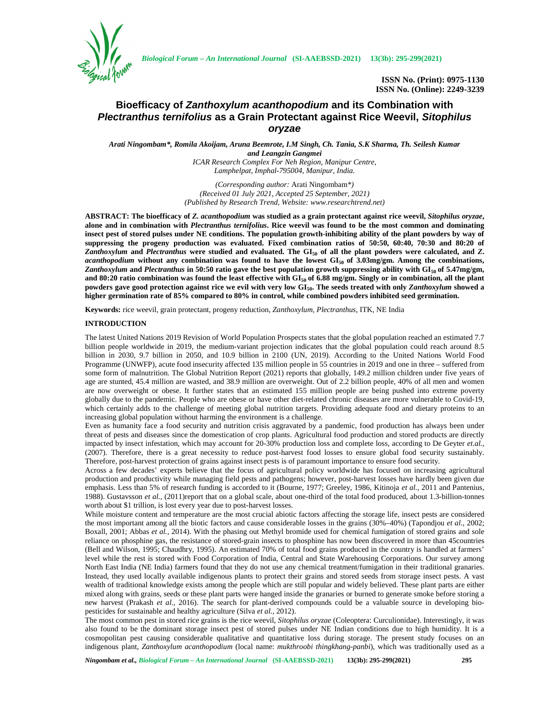

*Biological Forum – An International Journal* **(SI-AAEBSSD-2021) 13(3b): 295-299(2021)**

**ISSN No. (Print): 0975-1130 ISSN No. (Online): 2249-3239**

# **Bioefficacy of** *Zanthoxylum acanthopodium* **and its Combination with** *Plectranthus ternifolius* **as a Grain Protectant against Rice Weevil,** *Sitophilus oryzae*

*Arati Ningombam\*, Romila Akoijam, Aruna Beemrote, I.M Singh, Ch. Tania, S.K Sharma, Th. Seilesh Kumar and Leangzin Gangmei ICAR Research Complex For Neh Region, Manipur Centre, Lamphelpat, Imphal-795004, Manipur, India.*

> *(Corresponding author:* Arati Ningombam*\*) (Received 01 July 2021, Accepted 25 September, 2021) (Published by Research Trend, Website: <www.researchtrend.net>)*

**ABSTRACT: The bioefficacy of** *Z. acanthopodium* **was studied as a grain protectant against rice weevil,** *Sitophilus oryzae***, alone and in combination with** *Plectranthus ternifolius***. Rice weevil was found to be the most common and dominating insect pest of stored pulses under NE conditions. The population growth-inhibiting ability of the plant powders by way of suppressing the progeny production was evaluated. Fixed combination ratios of 50:50, 60:40, 70:30 and 80:20 of** *Zanthoxylum* **and** *Plectranthus* **were studied and evaluated. The GI<sup>50</sup> of all the plant powders were calculated, and** *Z***.** *acanthopodium* **without any combination was found to have the lowest GI<sup>50</sup> of 3.03mg/gm. Among the combinations,** *Zanthoxylum* **and** *Plectranthus* **in 50:50 ratio gave the best population growth suppressing ability with GI<sup>50</sup> of 5.47mg/gm, and 80:20 ratio combination was found the least effective with GI<sup>50</sup> of 6.88 mg/gm. Singly or in combination, all the plant powders gave good protection against rice we evil with very low GI50. The seeds treated with only** *Zanthoxylum* **showed a higher germination rate of 85% compared to 80% in control, while combined powders inhibited seed germination.**

**Keywords:** rice weevil, grain protectant, progeny reduction, *Zanthoxylum*, *Plectranthus*, ITK, NE India

#### **INTRODUCTION**

The latest United Nations 2019 Revision of World Population Prospects states that the global population reached an estimated 7.7 billion people worldwide in 2019, the medium-variant projection indicates that the global population could reach around 8.5 billion in 2030, 9.7 billion in 2050, and 10.9 billion in 2100 (UN, 2019). According to the United Nations World Food Programme (UNWFP), acute food insecurity affected 135 million people in 55 countries in 2019 and one in three – suffered from some form of malnutrition. The Global Nutrition Report (2021) reports that globally, 149.2 million children under five years of age are stunted, 45.4 million are wasted, and 38.9 million are overweight. Out of 2.2 billion people, 40% of all men and women are now overweight or obese. It further states that an estimated 155 million people are being pushed into extreme poverty globally due to the pandemic. People who are obese or have other diet-related chronic diseases are more vulnerable to Covid-19, which certainly adds to the challenge of meeting global nutrition targets. Providing adequate food and dietary proteins to an increasing global population without harming the environment is a challenge.

Even as humanity face a food security and nutrition crisis aggravated by a pandemic, food production has always been under threat of pests and diseases since the domestication of crop plants. Agricultural food production and stored products are directly impacted by insect infestation, which may account for 20-30% production loss and complete loss, according to De Geyter *et.al.*, (2007). Therefore, there is a great necessity to reduce post-harvest food losses to ensure global food security sustainably. Therefore, post-harvest protection of grains against insect pests is of paramount importance to ensure food security.

Across a few decades' experts believe that the focus of agricultural policy worldwide has focused on increasing agricultural production and productivity while managing field pests and pathogens; however, post-harvest losses have hardly been given due emphasis. Less than 5% of research funding is accorded to it (Bourne, 1977; Greeley, 1986, Kitinoja *et al.*, 2011 and Pantenius, 1988). Gustavsson *et al.*, (2011)report that on a global scale, about one-third of the total food produced, about 1.3-billion-tonnes worth about \$1 trillion, is lost every year due to post-harvest losses.

While moisture content and temperature are the most crucial abiotic factors affecting the storage life, insect pests are considered the most important among all the biotic factors and cause considerable losses in the grains (30%–40%) (Tapondjou *et al.*, 2002; Boxall, 2001; Abbas *et al.*, 2014). With the phasing out Methyl bromide used for chemical fumigation of stored grains and sole reliance on phosphine gas, the resistance of stored-grain insects to phosphine has now been discovered in more than 45countries (Bell and Wilson, 1995; Chaudhry, 1995). An estimated 70% of total food grains produced in the country is handled at farmers' level while the rest is stored with Food Corporation of India, Central and State Warehousing Corporations. Our survey among North East India (NE India) farmers found that they do not use any chemical treatment/fumigation in their traditional granaries. Instead, they used locally available indigenous plants to protect their grains and stored seeds from storage insect pests. A vast wealth of traditional knowledge exists among the people which are still popular and widely believed. These plant parts are either mixed along with grains, seeds or these plant parts were hanged inside the granaries or burned to generate smoke before storing a new harvest (Prakash *et al.*, 2016). The search for plant-derived compounds could be a valuable source in developing bio pesticides for sustainable and healthy agriculture (Silva *et al.*, 2012).

The most common pest in stored rice grains is the rice weevil, *Sitophilus oryzae* (Coleoptera: Curculionidae). Interestingly, it was also found to be the dominant storage insect pest of stored pulses under NE Indian conditions due to high humidity. It is a cosmopolitan pest causing considerable qualitative and quantitative loss during storage. The present study focuses on an indigenous plant, *Zanthoxylum acanthopodium* (local name: *mukthroobi thingkhang-panbi*), which was traditionally used as a

*Ningombam et al., Biological Forum – An International Journal* **(SI-AAEBSSD-2021) 13(3b): 295-299(2021) 295**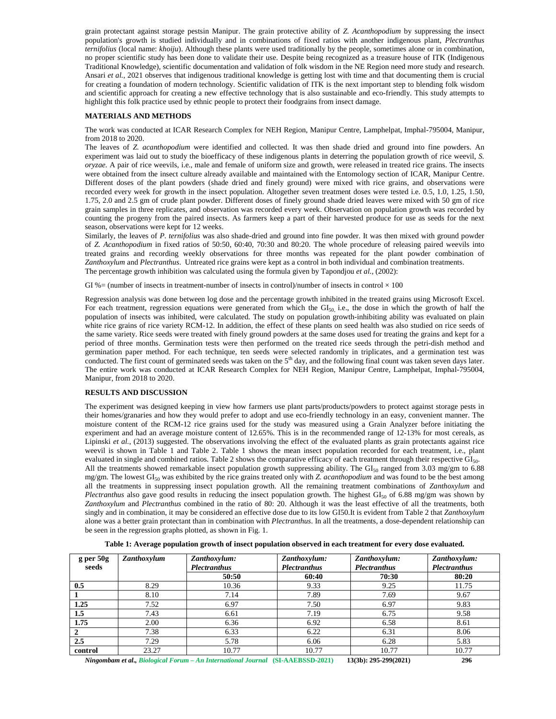grain protectant against storage pestsin Manipur. The grain protective ability of *Z. Acanthopodium* by suppressing the insect population's growth is studied individually and in combinations of fixed ratios with another indigenous plant, *Plectranthus ternifolius* (local name: *khoiju*). Although these plants were used traditionally by the people, sometimes alone or in combination, no proper scientific study has been done to validate their use. Despite being recognized as a treasure house of ITK (Indigenous Traditional Knowledge), scientific documentation and validation of folk wisdom in the NE Region need more study and research. Ansari *et al.*, 2021 observes that indigenous traditional knowledge is getting lost with time and that documenting them is crucial for creating a foundation of modern technology. Scientific validation of ITK is the next important step to blending folk wisdom and scientific approach for creating a new effective technology that is also sustainable and eco-friendly. This study attempts to highlight this folk practice used by ethnic people to protect their foodgrains from insect damage.

## **MATERIALS AND METHODS**

The work was conducted at ICAR Research Complex for NEH Region, Manipur Centre, Lamphelpat, Imphal-795004, Manipur, from 2018 to 2020.

The leaves of *Z. acanthopodium* were identified and collected. It was then shade dried and ground into fine powders. An experiment was laid out to study the bioefficacy of these indigenous plants in deterring the population growth of rice weevil, *S. oryzae.* A pair of rice weevils, i.e., male and female of uniform size and growth, were released in treated rice grains. The insects were obtained from the insect culture already available and maintained with the Entomology section of ICAR, Manipur Centre. Different doses of the plant powders (shade dried and finely ground) were mixed with rice grains, and observations were recorded every week for growth in the insect population. Altogether seven treatment doses were tested i.e. 0.5, 1.0, 1.25, 1.50, 1.75, 2.0 and 2.5 gm of crude plant powder. Different doses of finely ground shade dried leaves were mixed with 50 gm of rice grain samples in three replicates, and observation was recorded every week. Observation on population growth was recorded by counting the progeny from the paired insects. As farmers keep a part of their harvested produce for use as seeds for the next season, observations were kept for 12 weeks.

Similarly, the leaves of *P. ternifolius* was also shade-dried and ground into fine powder. It was then mixed with ground powder of *Z. Acanthopodium* in fixed ratios of 50:50, 60:40, 70:30 and 80:20. The whole procedure of releasing paired weevils into treated grains and recording weekly observations for three months was repeated for the plant powder combination of *Zanthoxylum* and *Plectranthus*. Untreated rice grains were kept as a control in both individual and combination treatments. The percentage growth inhibition was calculated using the formula given by Tapondjou *et al.*, (2002):

GI %= (number of insects in treatment-number of insects in control)/number of insects in control  $\times$  100

Regression analysis was done between log dose and the percentage growth inhibited in the treated grains using Microsoft Excel. For each treatment, regression equations were generated from which the  $GI<sub>50</sub>$ , i.e., the dose in which the growth of half the population of insects was inhibited, were calculated. The study on population growth-inhibiting ability was evaluated on plain white rice grains of rice variety RCM-12. In addition, the effect of these plants on seed health was also studied on rice seeds of the same variety. Rice seeds were treated with finely ground powders at the same doses used for treating the grains and kept for a period of three months. Germination tests were then performed on the treated rice seeds through the petri-dish method and germination paper method. For each technique, ten seeds were selected randomly in triplicates, and a germination test was conducted. The first count of germinated seeds was taken on the  $5<sup>th</sup>$  day, and the following final count was taken seven days later. The entire work was conducted at ICAR Research Complex for NEH Region, Manipur Centre, Lamphelpat, Imphal-795004, Manipur, from 2018 to 2020.

### **RESULTS AND DISCUSSION**

The experiment was designed keeping in view how farmers use plant parts/products/powders to protect against storage pests in their homes/granaries and how they would prefer to adopt and use eco-friendly technology in an easy, convenient manner. The moisture content of the RCM-12 rice grains used for the study was measured using a Grain Analyzer before initiating the experiment and had an average moisture content of 12.65%. This is in the recommended range of 12-13% for most cereals, as Lipinski et al., (2013) suggested. The observations involving the effect of the evaluated plants as grain protectants against rice weevil is shown in Table 1 and Table 2. Table 1 shows the mean insect population recorded for each treatment, i.e., plant evaluated in single and combined ratios. Table 2 shows the comparative efficacy of each treatment through their respective GI<sub>50</sub>. All the treatments showed remarkable insect population growth suppressing ability. The  $GI_{50}$  ranged from 3.03 mg/gm to 6.88  $mg/m$ . The lowest  $GI_{50}$  was exhibited by the rice grains treated only with *Z. acanthopodium* and was found to be the best among all the treatments in suppressing insect population growth. All the remaining treatment combinations of *Zanthoxylum* and *Plectranthus* also gave good results in reducing the insect population growth. The highest GI<sub>50</sub> of 6.88 mg/gm was shown by *Zanthoxylum* and*Plectranthus* combined in the ratio of 80: 20. Although it was the least effective of all the treatments, both singly and in combination, it may be considered an effective dose due to its low GI50.It is evident from Table 2 that *Zanthoxylum* alone was a better grain protectant than in combination with *Plectranthus*. In all the treatments, a dose-dependent relationship can be seen in the regression graphs plotted, as shown in Fig. 1.

| Table 1: Average population growth of insect population observed in each treatment for every dose evaluated. |  |
|--------------------------------------------------------------------------------------------------------------|--|
|--------------------------------------------------------------------------------------------------------------|--|

| $g$ per 50g<br>seeds | Zanthoxylum | Zanthoxylum:<br><b>Plectranthus</b> | Zanthoxylum:<br><b>Plectranthus</b> | Zanthoxylum:<br><b>Plectranthus</b> | Zanthoxylum:<br><b>Plectranthus</b> |
|----------------------|-------------|-------------------------------------|-------------------------------------|-------------------------------------|-------------------------------------|
|                      |             | 50:50                               | 60:40                               | 70:30                               | 80:20                               |
| 0.5                  | 8.29        | 10.36                               | 9.33                                | 9.25                                | 11.75                               |
|                      | 8.10        | 7.14                                | 7.89                                | 7.69                                | 9.67                                |
| 1.25                 | 7.52        | 6.97                                | 7.50                                | 6.97                                | 9.83                                |
| 1.5                  | 7.43        | 6.61                                | 7.19                                | 6.75                                | 9.58                                |
| 1.75                 | 2.00        | 6.36                                | 6.92                                | 6.58                                | 8.61                                |
| $\overline{2}$       | 7.38        | 6.33                                | 6.22                                | 6.31                                | 8.06                                |
| 2.5                  | 7.29        | 5.78                                | 6.06                                | 6.28                                | 5.83                                |
| control              | 23.27       | 10.77                               | 10.77                               | 10.77                               | 10.77                               |

*Ningombam et al., Biological Forum – An International Journal* **(SI-AAEBSSD-2021) 13(3b): 295-299(2021) 296**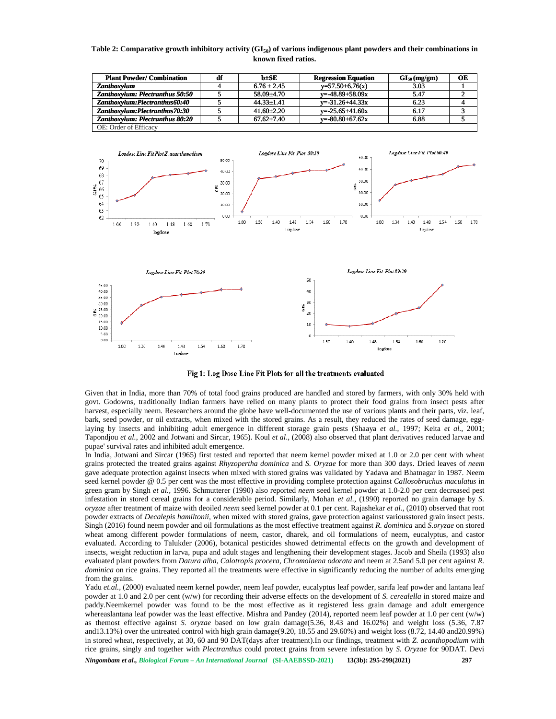# **Table 2: Comparative growth inhibitory activity (GI50) of various indigenous plant powders and their combinations in known fixed ratios.**

| <b>Plant Powder/Combination</b>        | df | b±SE             | <b>Regression Equation</b> | $GI_{50}$ (mg/gm) | OЕ |
|----------------------------------------|----|------------------|----------------------------|-------------------|----|
| Zanthoxylum                            |    | $6.76 \pm 2.45$  | $y=57.50+6.76(x)$          | 3.03              |    |
| Zanthoxylum: Plectranthus 50:50        |    | $58.09 + 4.70$   | $v = -48.89 + 58.09x$      | 5.47              |    |
| Zanthoxylum:Plectranthus60:40          |    | $44.33 + 1.41$   | $v = -31.26 + 44.33x$      | 6.23              |    |
| Zanthoxylum:Plectranthus70:30          |    | $41.60 + 2.20$   | $v = -25.65 + 41.60x$      | 6.17              |    |
| <b>Zanthoxylum: Plectranthus 80:20</b> |    | $67.62 \pm 7.40$ | $v = -80.80 + 67.62x$      | 6.88              |    |
| OE: Order of Efficacy                  |    |                  |                            |                   |    |



Given that in India, more than 70% of total food grains produced are handled and stored by farmers, with only 30% held with govt. Godowns, traditionally Indian farmers have relied on many plants to protect their food grains from insect pests after harvest, especially neem. Researchers around the globe have well-documented the use of various plants and their parts, viz. leaf, bark, seed powder, or oil extracts, when mixed with the stored grains. As a result, they reduced the rates of seed damage, egg-Given that in India, more than 70% of total food grains produced are handled and stored by farmers, with only 30% held with govt. Godowns, traditionally Indian farmers have relied on many plants to protect their food grain Tapondjou et al., 2002 and Jotwani and Sircar, 1965). Koul et al., (2008) also observed that plant derivatives reduced larvae and pupae' survival rates and inhibited adult emergence.

In India, Jotwani and Sircar (1965) first tested and reported that neem kernel powder mixed at 1.0 or 2.0 per cent with wheat grains protected the treated grains against *Rhyzopertha dominica* and *S. Oryzae* for more than 300 days. Dried leaves of *neem* gave adequate protection against insects when mixed with stored grains was validated by Yadava and Bhatnagar in 1987. Neem seed kernel powder @ 0.5 per cent was the most effective in providing complete protection against *Callosobruchus maculatus* in green gram by Singh *et al.,* 1996. Schmutterer (1990) also reported *neem* seed kernel powder at 1.0-2.0 per cent decreased pest green gram by Singh *et al.*, 1996. Schmutterer (1990) also reported *neem* seed kernel powder at 1.0-2.0 per cent decreased pest infestation in stored cereal grains for a considerable period. Similarly, Mohan *et al.*, (1 *oryzae* after treatment of maize with deoiled *neem* seed kernel powder at 0.1 per cent. Rajashekar *et al.,* (2010) observed that root powder extracts of *Decalepis hamiltonii,* when mixed with stored grains, gave protection against variousstored grain insect pests. Singh (2016) found neem powder and oil formulations as the most effective treatment against *R. dominica* and *S.oryzae* on stored wheat among different powder formulations of neem, castor, dharek, and oil formulations of neem, eucalyptus, and castor oryzae after treatment of maize with deoiled neem seed kernel powder at 0.1 per cent. Rajashekar et al., (2010) observed that root powder extracts of *Decalepis hamiltonii*, when mixed with stored grains, gave protection a insects, weight reduction in larva, pupa and adult stages and lengthening their development stages. Jacob and Sheila (1993) also evaluated plant powders from *Datura alba, Calotropis procera*, *Chromolaena odorata* and neem at 2.5and 5.0 per cent against *R. dominica* on rice grains. They reported all the treatments were effective in significantly reducing the number of adults emerging from the grains. pupae' survival rates and inhibited adult emergence.<br>In India, Jotwani and Sircar (1965) first tested and reported that neem kernel powder mixed at 1.0 or 2.0 per cent with wheat<br>grains protected the treated grains against

*Ningombam et al., Biological Forum – An International Journal* **(SI-AAEBSSD-2021) 13(3b): 295-299(2021) 297** Yadu *et.al.*, (2000) evaluated neem kernel powder, neem leaf powder, eucalyptus leaf powder, sarifa leaf powder and lantana leaf powder at 1.0 and 2.0 per cent (w/w) for recording their adverse effects on the development of *S. cerealella* in stored maize and paddy.Neemkernel powder was found to be the most effective as it registered less grain damage and adult emergence whereaslantana leaf powder was the least effective. Mishra and Pandey (2014), reported neem leaf powder at 1.0 per cent (w/w) as themost effective against *S. oryzae* based on low grain damage(5.36, 8.43 and 16.02%) and weight loss (5.36, 7.87 and13.13%) over the untreated control with high grain damage(9.20, 18.55 and 29.60%) and weight loss (8.72, 14.40 and20.99%) in stored wheat, respectively, at 30, 60 and 90 DAT(days after treatment).In our findings, treatment with *Z. acanthopodium* with rice grains, singly and together with *Plectranthus* could protect grains from severe infestation by *S. Oryzae* for 90DAT. Devi dominica on rice grains. They reported all the treatments were effective in significantly reducing the number of adults emerging<br>
Yadu *et.al.*, (2000) evaluated neem kernel powder, neem leaf powder, eucalyptus leaf powder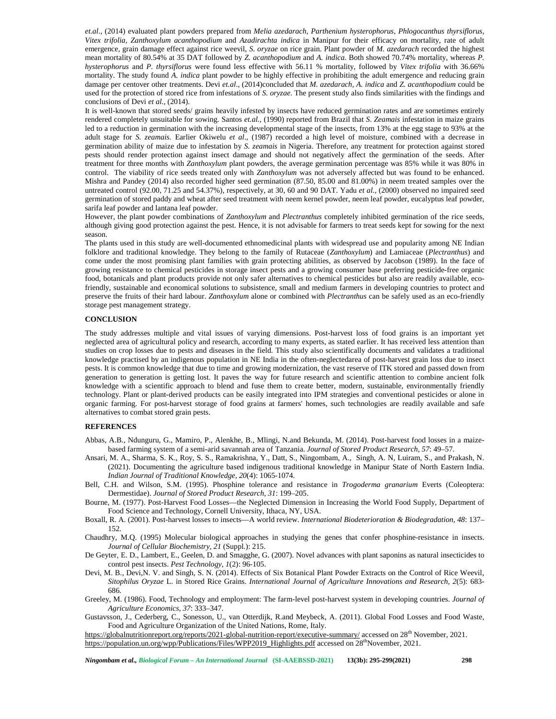*et.al*., (2014) evaluated plant powders prepared from *Melia azedarach, Parthenium hysterophorus, Phlogocanthus thyrsiflorus, Vitex trifolia, Zanthoxylum acanthopodium* and *Azadirachta indica* in Manipur for their efficacy on mortality, rate of adult emergence, grain damage effect against rice weevil, *S. oryzae* on rice grain. Plant powder of *M. azedarach* recorded the highest mean mortality of 80.54% at 35 DAT followed by *Z. acanthopodium* and*A. indica.* Both showed 70.74% mortality, whereas *P. hysterophorus* and *P. thyrsiflorus* were found less effective with 56.11 % mortality, followed by *Vitex trifolia* with 36.66% mortality. The study found *A. indica* plant powder to be highly effective in prohibiting the adult emergence and reducing grain damage per centover other treatments. Devi et.al., (2014)concluded that *M. azedarach*, A. *indica* and *Z. acanthopodium* could be used for the protection of stored rice from infestations of *S. oryzae.* The present study also finds similarities with the findings and conclusions of Devi *et al.,* (2014).

It is well-known that stored seeds/ grains heavily infested by insects have reduced germination rates and are sometimes entirely rendered completely unsuitable for sowing. Santos *et.al.,* (1990) reported from Brazil that *S*. *Zeamais* infestation in maize grains led to a reduction in germination with the increasing developmental stage of the insects, from 13% at the egg stage to 93% at the adult stage for *S. zeamais.* Earlier Okiwelu *et al*., (1987) recorded a high level of moisture, combined with a decrease in germination ability of maize due to infestation by *S. zeamais* in Nigeria. Therefore, any treatment for protection against stored pests should render protection against insect damage and should not negatively affect the germination of the seeds. After treatment for three months with *Zanthoxylum* plant powders, the average germination percentage was 85% while it was 80% in control. The viability of rice seeds treated only with *Zanthoxylum* was not adversely affected but was found to be enhanced. Mishra and Pandey (2014) also recorded higher seed germination (87.50, 85.00 and 81.00%) in neem treated samples over the untreated control (92.00, 71.25 and 54.37%), respectively, at 30, 60 and 90 DAT. Yadu *et al.,* (2000) observed no impaired seed germination of stored paddy and wheat after seed treatment with neem kernel powder, neem leaf powder, eucalyptus leaf powder, sarifa leaf powder and lantana leaf powder.

However, the plant powder combinations of *Zanthoxylum* and*Plectranthus* completely inhibited germination of the rice seeds, although giving good protection against the pest. Hence, it is not advisable for farmers to treat seeds kept for sowing for the next season.

The plants used in this study are well-documented ethnomedicinal plants with widespread use and popularity among NE Indian folklore and traditional knowledge. They belong to the family of Rutaceae (*Zanthoxylum*) and Lamiaceae (*Plectranthus*) and come under the most promising plant families with grain protecting abilities, as observed by Jacobson (1989). In the face of growing resistance to chemical pesticides in storage insect pests and a growing consumer base preferring pesticide-free organic food, botanicals and plant products provide not only safer alternatives to chemical pesticides but also are readily available, ecofriendly, sustainable and economical solutions to subsistence, small and medium farmers in developing countries to protect and preserve the fruits of their hard labour. *Zanthoxylum* alone or combined with *Plectranthus* can be safely used as an eco-friendly storage pest management strategy.

# **CONCLUSION**

The study addresses multiple and vital issues of varying dimensions. Post-harvest loss of food grains is an important yet neglected area of agricultural policy and research, according to many experts, as stated earlier. It has received less attention than studies on crop losses due to pests and diseases in the field. This study also scientifically documents and validates a traditional knowledge practised by an indigenous population in NE India in the often-neglectedarea of post-harvest grain loss due to insect pests. It is common knowledge that due to time and growing modernization, the vast reserve of ITK stored and passed down from generation to generation is getting lost. It paves the way for future research and scientific attention to combine ancient folk knowledge with a scientific approach to blend and fuse them to create better, modern, sustainable, environmentally friendly technology. Plant or plant-derived products can be easily integrated into IPM strategies and conventional pesticides or alone in organic farming. For post-harvest storage of food grains at farmers' homes, such technologies are readily available and safe alternatives to combat stored grain pests.

#### **REFERENCES**

- Abbas, A.B., Ndunguru, G., Mamiro, P., Alenkhe, B., Mlingi, N.and Bekunda, M. (2014). Post-harvest food losses in a maize based farming system of a semi-arid savannah area of Tanzania. *Journal of Stored Product Research, 57*: 49–57.
- Ansari, M. A., Sharma, S. K., Roy, S. S., Ramakrishna, Y., Datt, S., Ningombam, A., Singh, A. N, Luiram, S., and Prakash, N. (2021). Documenting the agriculture based indigenous traditional knowledge in Manipur State of North Eastern India. *Indian Journal of Traditional Knowledge*, *20*(4): 1065-1074.
- Bell, C.H. and Wilson, S.M. (1995). Phosphine tolerance and resistance in *Trogoderma granarium* Everts (Coleoptera: Dermestidae). *Journal of Stored Product Research*, *31*: 199–205.
- Bourne, M. (1977). Post-Harvest Food Losses—the Neglected Dimension in Increasing the World Food Supply, Department of Food Science and Technology, Cornell University, Ithaca, NY, USA.
- Boxall, R. A. (2001). Post-harvest losses to insects—A world review. *International Biodeterioration & Biodegradation, 48*: 137– 152.

Chaudhry, M.Q. (1995) Molecular biological approaches in studying the genes that confer phosphine-resistance in insects. *Journal of Cellular Biochemistry, 21* (Suppl.): 215.

- De Geyter, E. D., Lambert, E., Geelen, D. and Smagghe, G. (2007). Novel advances with plant saponins as natural insecticides to control pest insects. *Pest Technology*, *1*(2): 96-105.
- Devi, M. B., Devi,N. V. and Singh, S. N. (2014). Effects of Six Botanical Plant Powder Extracts on the Control of Rice Weevil, *Sitophilus Oryzae* L. in Stored Rice Grains. *International Journal of Agriculture Innovations and Research, 2*(5): 683- 686.
- Greeley, M. (1986). Food, Technology and employment: The farm-level post-harvest system in developing countries. *Journal of Agriculture Economics*, *37*: 333–347.
- Gustavsson, J., Cederberg, C., Sonesson, U., van Otterdijk, R.and Meybeck, A. (2011). Global Food Losses and Food Waste, Food and Agriculture Organization of the United Nations, Rome, Italy.

https://globalnutritionreport.org/reports/2021-global-nutrition-report/executive-summary/ accessed on 28<sup>th</sup> November, 2021. https://population.un.org/wpp/Publications/Files/WPP2019\_Highlights.pdf accessed on 28<sup>th</sup>November, 2021.

*Ningombam et al., Biological Forum – An International Journal* **(SI-AAEBSSD-2021) 13(3b): 295-299(2021) 298**